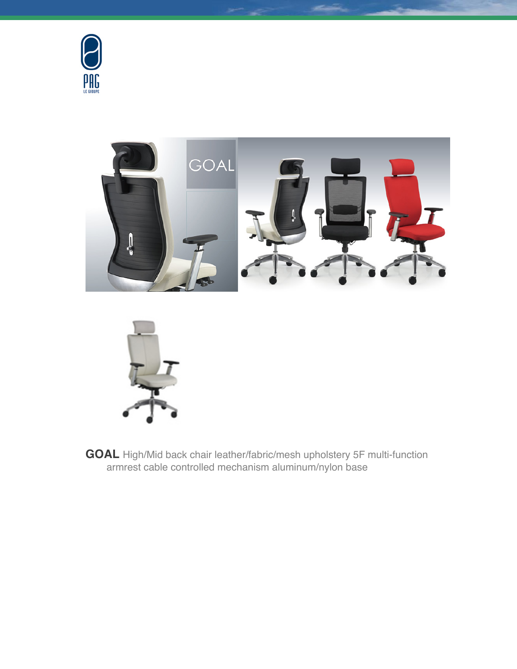





**GOAL** High/Mid back chair leather/fabric/mesh upholstery 5F multi-function armrest cable controlled mechanism aluminum/nylon base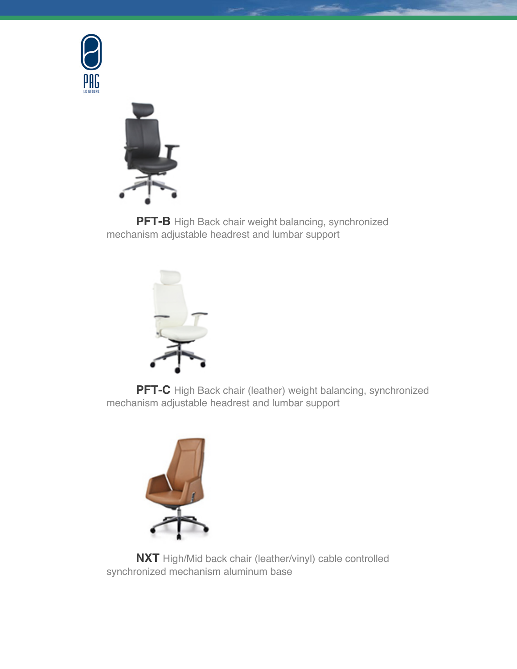



**PFT-B** High Back chair weight balancing, synchronized mechanism adjustable headrest and lumbar support



**PFT-C** High Back chair (leather) weight balancing, synchronized mechanism adjustable headrest and lumbar support



**NXT** High/Mid back chair (leather/vinyl) cable controlled synchronized mechanism aluminum base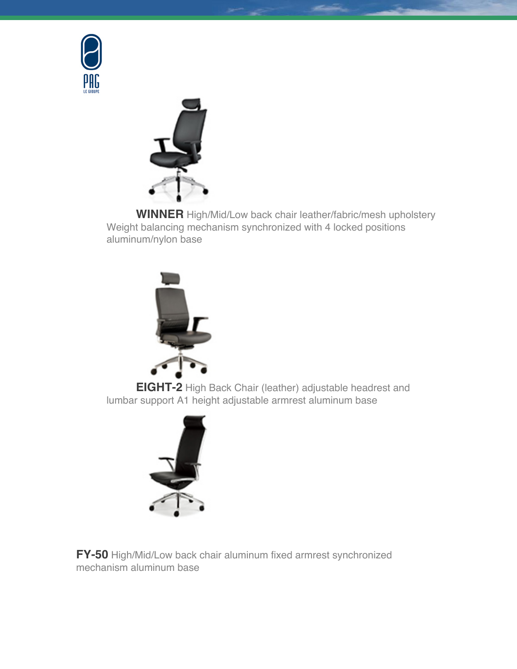



**WINNER** High/Mid/Low back chair leather/fabric/mesh upholstery Weight balancing mechanism synchronized with 4 locked positions aluminum/nylon base



**EIGHT-2** High Back Chair (leather) adjustable headrest and lumbar support A1 height adjustable armrest aluminum base



**FY-50** High/Mid/Low back chair aluminum fixed armrest synchronized mechanism aluminum base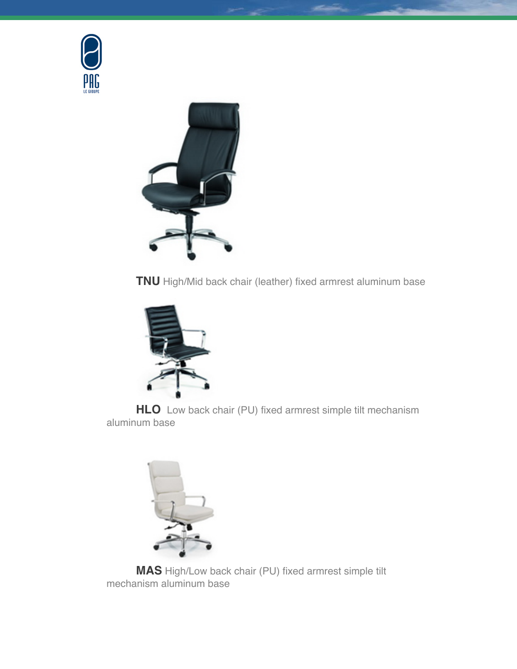



**TNU** High/Mid back chair (leather) fixed armrest aluminum base



**HLO** Low back chair (PU) fixed armrest simple tilt mechanism aluminum base



**MAS** High/Low back chair (PU) fixed armrest simple tilt mechanism aluminum base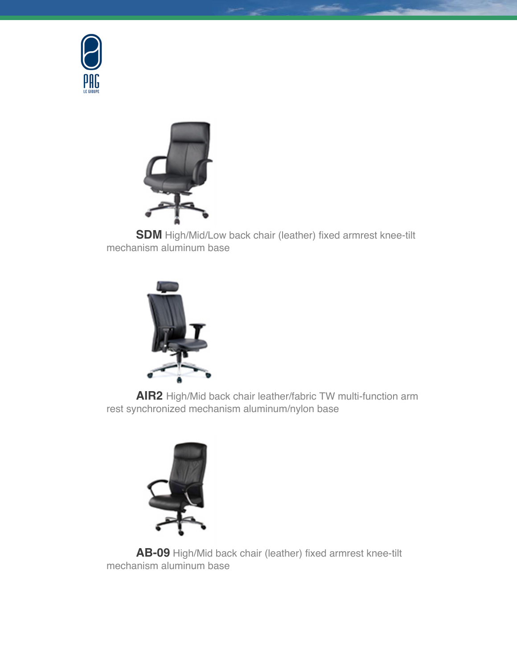



**SDM** High/Mid/Low back chair (leather) fixed armrest knee-tilt mechanism aluminum base



**AIR2** High/Mid back chair leather/fabric TW multi-function arm rest synchronized mechanism aluminum/nylon base



**AB-09** High/Mid back chair (leather) fixed armrest knee-tilt mechanism aluminum base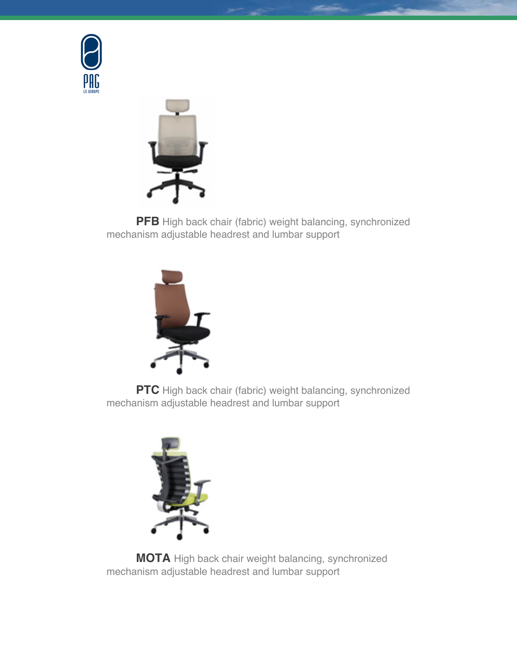



**PFB** High back chair (fabric) weight balancing, synchronized mechanism adjustable headrest and lumbar support



**PTC** High back chair (fabric) weight balancing, synchronized mechanism adjustable headrest and lumbar support



**MOTA** High back chair weight balancing, synchronized mechanism adjustable headrest and lumbar support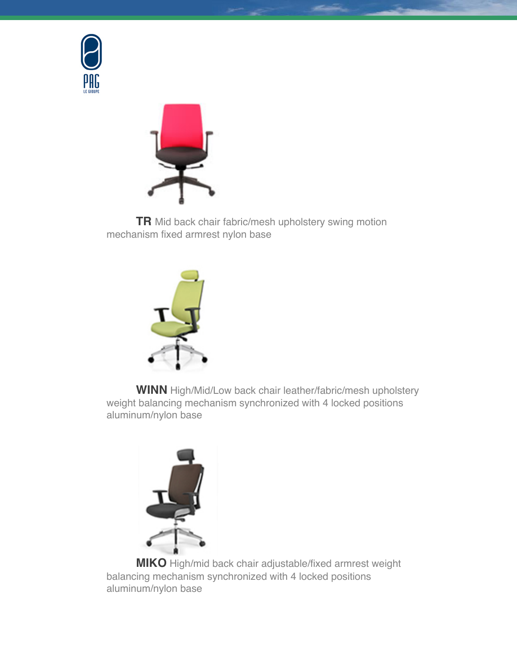



**TR** Mid back chair fabric/mesh upholstery swing motion mechanism fixed armrest nylon base



**WINN** High/Mid/Low back chair leather/fabric/mesh upholstery weight balancing mechanism synchronized with 4 locked positions aluminum/nylon base



**MIKO** High/mid back chair adjustable/fixed armrest weight balancing mechanism synchronized with 4 locked positions aluminum/nylon base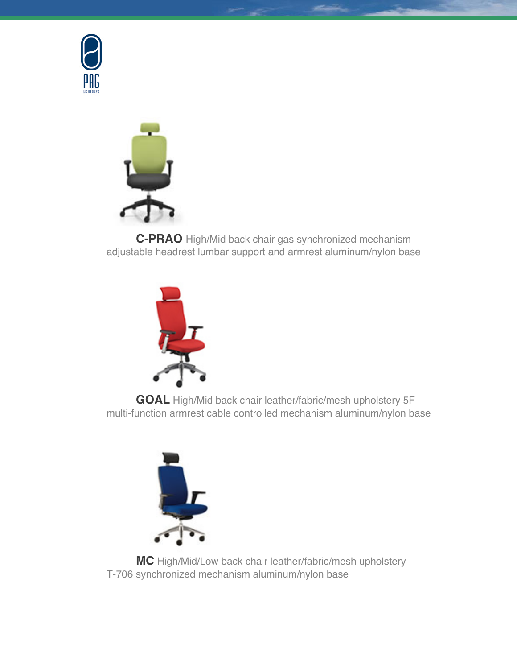



**C-PRAO** High/Mid back chair gas synchronized mechanism adjustable headrest lumbar support and armrest aluminum/nylon base



**GOAL** High/Mid back chair leather/fabric/mesh upholstery 5F multi-function armrest cable controlled mechanism aluminum/nylon base



**MC** High/Mid/Low back chair leather/fabric/mesh upholstery T-706 synchronized mechanism aluminum/nylon base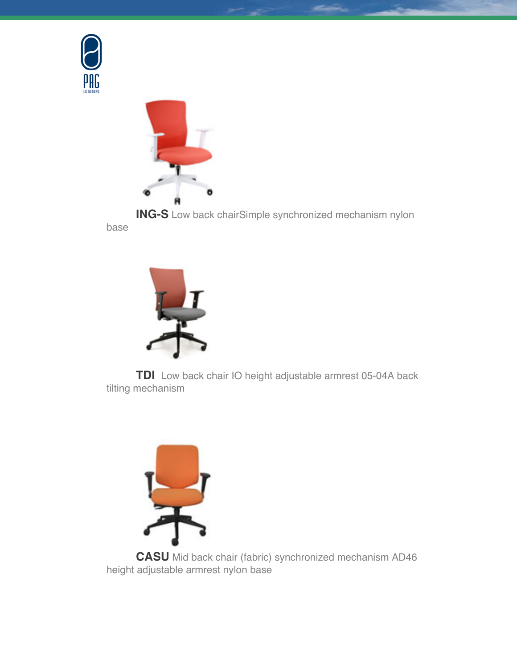



**ING-S** Low back chairSimple synchronized mechanism nylon base



**TDI** Low back chair IO height adjustable armrest 05-04A back tilting mechanism



**CASU** Mid back chair (fabric) synchronized mechanism AD46 height adjustable armrest nylon base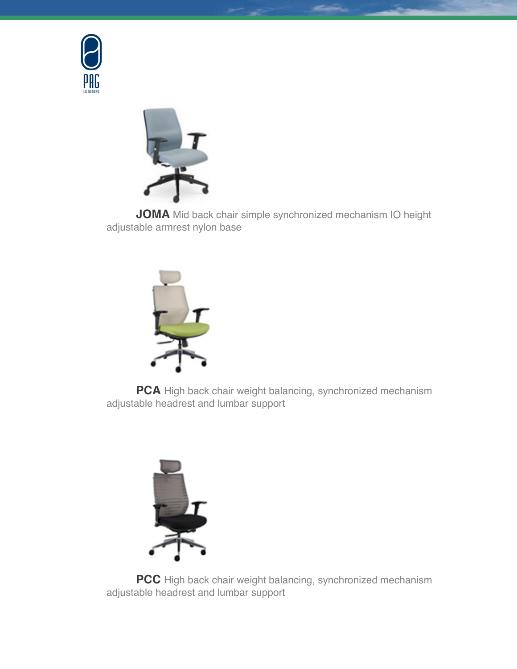



**JOMA** Mid back chair simple synchronized mechanism IO height adjustable armrest nylon base



**PCA** High back chair weight balancing, synchronized mechanism adjustable headrest and lumbar support



**PCC** High back chair weight balancing, synchronized mechanism adjustable headrest and lumbar support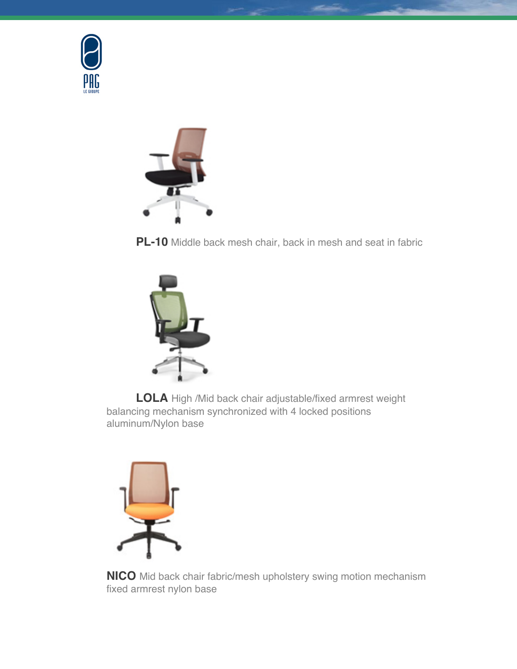



**PL-10** Middle back mesh chair, back in mesh and seat in fabric



**LOLA** High /Mid back chair adjustable/fixed armrest weight balancing mechanism synchronized with 4 locked positions aluminum/Nylon base



**NICO** Mid back chair fabric/mesh upholstery swing motion mechanism fixed armrest nylon base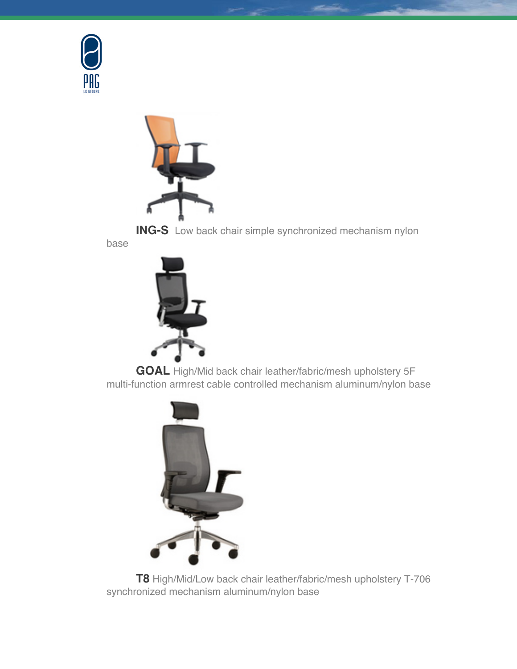



**ING-S** Low back chair simple synchronized mechanism nylon

base



**GOAL** High/Mid back chair leather/fabric/mesh upholstery 5F multi-function armrest cable controlled mechanism aluminum/nylon base



**T8** High/Mid/Low back chair leather/fabric/mesh upholstery T-706 synchronized mechanism aluminum/nylon base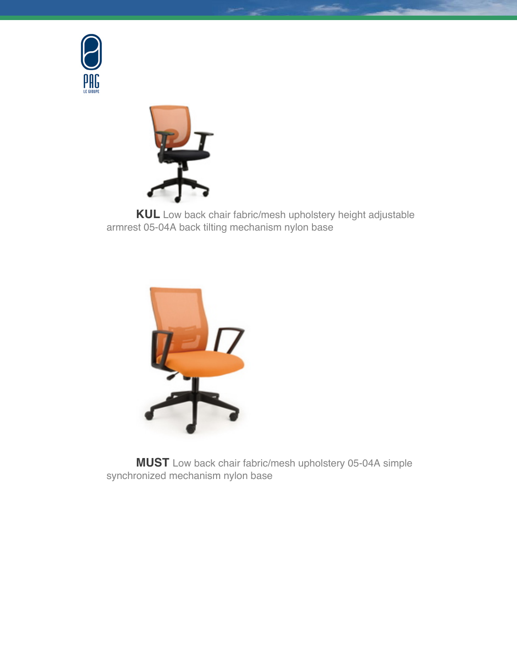



**KUL** Low back chair fabric/mesh upholstery height adjustable armrest 05-04A back tilting mechanism nylon base



**MUST** Low back chair fabric/mesh upholstery 05-04A simple synchronized mechanism nylon base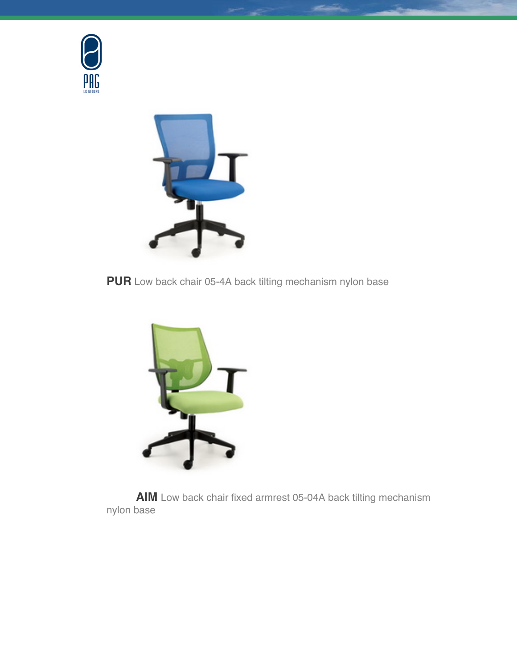



**PUR** Low back chair 05-4A back tilting mechanism nylon base



**AIM** Low back chair fixed armrest 05-04A back tilting mechanism nylon base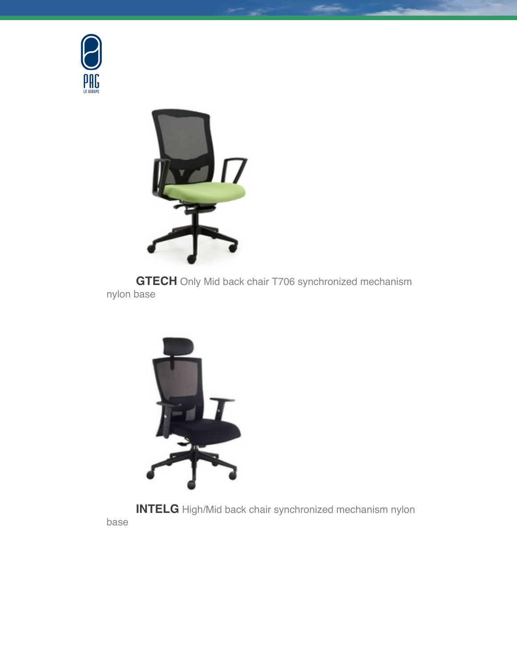



**GTECH** Only Mid back chair T706 synchronized mechanism nylon base



**INTELG** High/Mid back chair synchronized mechanism nylon base